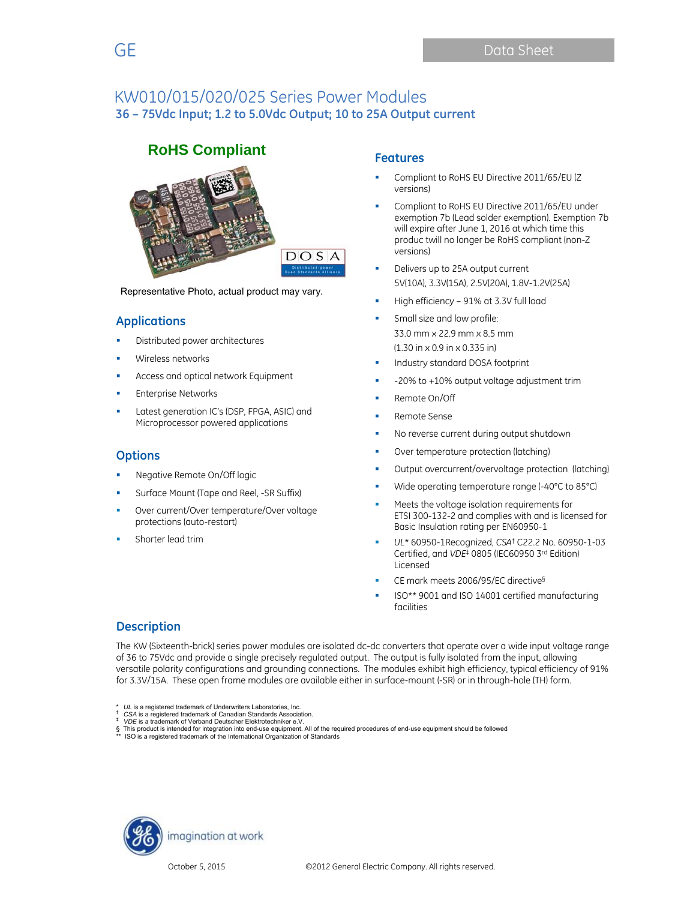

Representative Photo, actual product may vary.

## **Applications**

- Distributed power architectures
- Wireless networks
- Access and optical network Equipment
- Enterprise Networks
- Latest generation IC's (DSP, FPGA, ASIC) and Microprocessor powered applications

## **Options**

- Negative Remote On/Off logic
- Surface Mount (Tape and Reel, -SR Suffix)
- Over current/Over temperature/Over voltage protections (auto-restart)
- Shorter lead trim

## **Features**

- Compliant to RoHS EU Directive 2011/65/EU (Z versions)
- Compliant to RoHS EU Directive 2011/65/EU under exemption 7b (Lead solder exemption). Exemption 7b will expire after June 1, 2016 at which time this produc twill no longer be RoHS compliant (non-Z versions)
- Delivers up to 25A output current 5V(10A), 3.3V(15A), 2.5V(20A), 1.8V-1.2V(25A)
- High efficiency 91% at 3.3V full load
- Small size and low profile: 33.0 mm x 22.9 mm x 8.5 mm (1.30 in x 0.9 in x 0.335 in)
- Industry standard DOSA footprint
- -20% to +10% output voltage adjustment trim
- Remote On/Off
- Remote Sense
- No reverse current during output shutdown
- Over temperature protection (latching)
- Output overcurrent/overvoltage protection (latching)
- Wide operating temperature range (-40°C to 85°C)
- Meets the voltage isolation requirements for ETSI 300-132-2 and complies with and is licensed for Basic Insulation rating per EN60950-1
- *UL*\* 60950-1Recognized, *CSA*† C22.2 No. 60950-1-03 Certified, and *VDE*‡ 0805 (IEC60950 3rd Edition) Licensed
- CE mark meets 2006/95/EC directive§
- ISO\*\* 9001 and ISO 14001 certified manufacturing facilities

## **Description**

The KW (Sixteenth-brick) series power modules are isolated dc-dc converters that operate over a wide input voltage range of 36 to 75Vdc and provide a single precisely regulated output. The output is fully isolated from the input, allowing versatile polarity configurations and grounding connections. The modules exhibit high efficiency, typical efficiency of 91% for 3.3V/15A. These open frame modules are available either in surface-mount (-SR) or in through-hole (TH) form.

*UL* is a registered trademark of Underwriters Laboratories, Inc. *<br><i>CSA* is a registered trademark of Canadian Standards Association.

- 
- ‡ *VDE* is a trademark of Verband Deutscher Elektrotechniker e.V.<br>§ This product is intended for integration into end-use equipment. All of the required procedures of end-use equipment should be followed<br>\*\* ISO is a regis
- ISO is a registered trademark of the International Organization of Standards

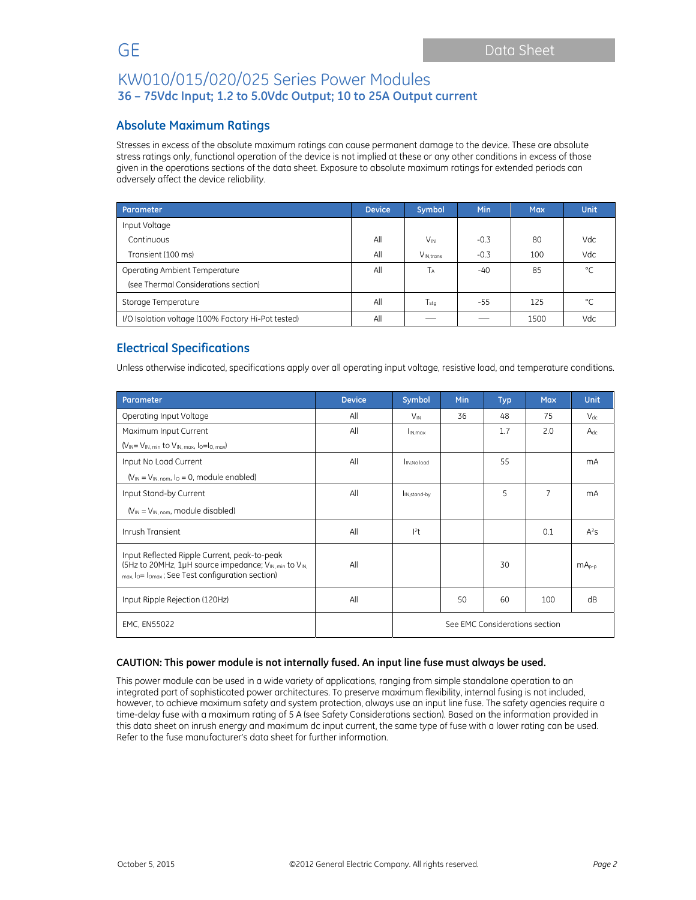## **Absolute Maximum Ratings**

Stresses in excess of the absolute maximum ratings can cause permanent damage to the device. These are absolute stress ratings only, functional operation of the device is not implied at these or any other conditions in excess of those given in the operations sections of the data sheet. Exposure to absolute maximum ratings for extended periods can adversely affect the device reliability.

| Parameter                                          | <b>Device</b> | Symbol                | <b>Min</b> | <b>Max</b> | <b>Unit</b> |
|----------------------------------------------------|---------------|-----------------------|------------|------------|-------------|
| Input Voltage                                      |               |                       |            |            |             |
| Continuous                                         | All           | <b>V<sub>IN</sub></b> | $-0.3$     | 80         | Vdc         |
| Transient (100 ms)                                 | All           | V <sub>IN.trans</sub> | $-0.3$     | 100        | Vdc         |
| Operating Ambient Temperature                      | All           | Tд                    | -40        | 85         | °C          |
| (see Thermal Considerations section)               |               |                       |            |            |             |
| Storage Temperature                                | All           | $T_{\text{stq}}$      | -55        | 125        | °C          |
| I/O Isolation voltage (100% Factory Hi-Pot tested) | All           |                       |            | 1500       | Vdc         |

# **Electrical Specifications**

Unless otherwise indicated, specifications apply over all operating input voltage, resistive load, and temperature conditions.

| Parameter                                                                                                                                                | <b>Device</b> | Symbol                         | Min | <b>Typ</b> | <b>Max</b> | <b>Unit</b> |
|----------------------------------------------------------------------------------------------------------------------------------------------------------|---------------|--------------------------------|-----|------------|------------|-------------|
| Operating Input Voltage                                                                                                                                  | All           | $V_{\text{IN}}$                | 36  | 48         | 75         | $V_{dc}$    |
| Maximum Input Current                                                                                                                                    | All           | I <sub>IN.max</sub>            |     | 1.7        | 2.0        | $A_{dc}$    |
| $(V_{IN} = V_{IN, min}$ to $V_{IN, max, 10} = I_{O, max}$                                                                                                |               |                                |     |            |            |             |
| Input No Load Current                                                                                                                                    | All           | IN.No load                     |     | 55         |            | mA          |
| $(V_{IN} = V_{IN, nom, 10} = 0$ , module enabled)                                                                                                        |               |                                |     |            |            |             |
| Input Stand-by Current                                                                                                                                   | All           | I <sub>IN.stand-by</sub>       |     | 5          | 7          | mA          |
| $(V_{IN} = V_{IN. nom.}$ module disabled)                                                                                                                |               |                                |     |            |            |             |
| Inrush Transient                                                                                                                                         | All           | 2t                             |     |            | 0.1        | $A^2S$      |
| Input Reflected Ripple Current, peak-to-peak<br>(5Hz to 20MHz, 1µH source impedance; VIN, min to VIN,<br>max, lo= lomax; See Test configuration section) | All           |                                |     | 30         |            | $mA_{p-p}$  |
| Input Ripple Rejection (120Hz)                                                                                                                           | All           |                                | 50  | 60         | 100        | dB          |
| <b>EMC, EN55022</b>                                                                                                                                      |               | See EMC Considerations section |     |            |            |             |

#### **CAUTION: This power module is not internally fused. An input line fuse must always be used.**

This power module can be used in a wide variety of applications, ranging from simple standalone operation to an integrated part of sophisticated power architectures. To preserve maximum flexibility, internal fusing is not included, however, to achieve maximum safety and system protection, always use an input line fuse. The safety agencies require a time-delay fuse with a maximum rating of 5 A (see Safety Considerations section). Based on the information provided in this data sheet on inrush energy and maximum dc input current, the same type of fuse with a lower rating can be used. Refer to the fuse manufacturer's data sheet for further information.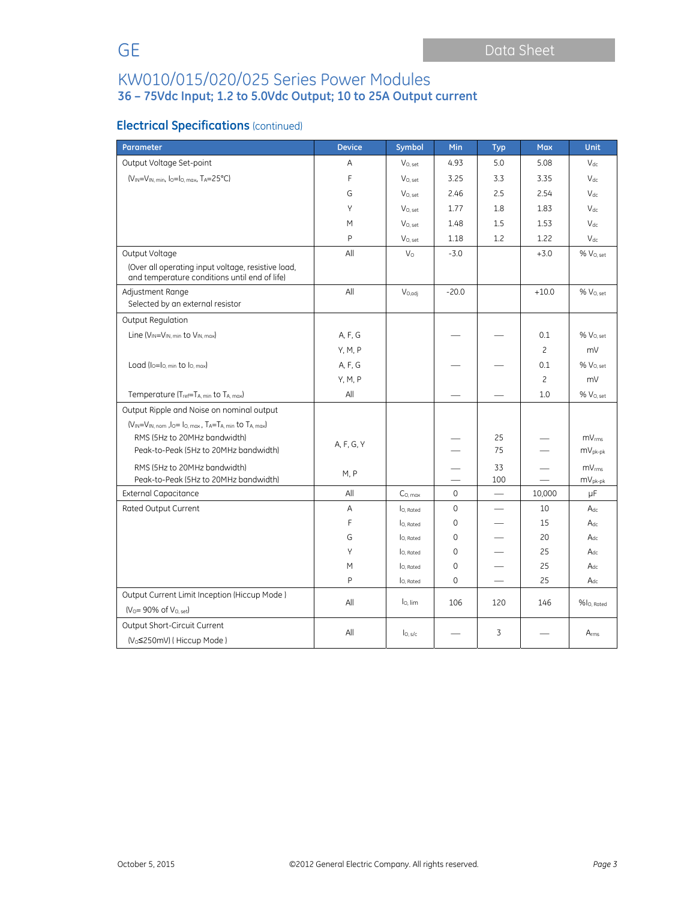# **Electrical Specifications** (continued)

| Parameter                                                                                           | <b>Device</b> | <b>Symbol</b>       | Min         | <b>Typ</b>               | <b>Max</b>     | <b>Unit</b>           |
|-----------------------------------------------------------------------------------------------------|---------------|---------------------|-------------|--------------------------|----------------|-----------------------|
| Output Voltage Set-point                                                                            | A             | $V_{O.}$ set        | 4.93        | 5.0                      | 5.08           | $V_{dc}$              |
| $(V_{IN} = V_{IN. min. 10} = 10$ . max. TA=25°C)                                                    | F             | $V_{O.}$ set        | 3.25        | 3.3                      | 3.35           | $V_{dc}$              |
|                                                                                                     | G             | V <sub>O. set</sub> | 2.46        | 2.5                      | 2.54           | $V_{dc}$              |
|                                                                                                     | Υ             | V <sub>O. set</sub> | 1.77        | 1.8                      | 1.83           | $V_{dc}$              |
|                                                                                                     | M             | $V_{O.}$ set        | 1.48        | 1.5                      | 1.53           | $V_{dc}$              |
|                                                                                                     | P             | $V_{O, set}$        | 1.18        | 1.2                      | 1.22           | $V_{dc}$              |
| Output Voltage                                                                                      | All           | $V_{\Omega}$        | $-3.0$      |                          | $+3.0$         | % V <sub>0. set</sub> |
| (Over all operating input voltage, resistive load,<br>and temperature conditions until end of life) |               |                     |             |                          |                |                       |
| Adjustment Range                                                                                    | All           | $V_{O,adj}$         | $-20.0$     |                          | $+10.0$        | % V <sub>O. set</sub> |
| Selected by an external resistor                                                                    |               |                     |             |                          |                |                       |
| Output Regulation                                                                                   |               |                     |             |                          |                |                       |
| Line $(V_{IN} = V_{IN, min}$ to $V_{IN, max}$                                                       | A, F, G       |                     |             |                          | 0.1            | % V <sub>O. set</sub> |
|                                                                                                     | Y, M, P       |                     |             |                          | $\overline{c}$ | mV                    |
| Load ( $I_0 = I_0$ , min to $I_0$ , max)                                                            | A, F, G       |                     |             |                          | 0.1            | % V <sub>O. set</sub> |
|                                                                                                     | Y, M, P       |                     |             |                          | $\overline{c}$ | mV                    |
| Temperature (T <sub>ref</sub> =T <sub>A, min</sub> to T <sub>A, max</sub> )                         | All           |                     |             |                          | 1.0            | % V <sub>0. set</sub> |
| Output Ripple and Noise on nominal output                                                           |               |                     |             |                          |                |                       |
| $(V_{IN} = V_{IN. nom.}$ lo= lo. max, $T_A = T_A$ min to $T_A$ max)                                 |               |                     |             |                          |                |                       |
| RMS (5Hz to 20MHz bandwidth)                                                                        | A, F, G, Y    |                     |             | 25                       |                | mV <sub>rms</sub>     |
| Peak-to-Peak (5Hz to 20MHz bandwidth)                                                               |               |                     |             | 75                       |                | $mV_{pk-pk}$          |
| RMS (5Hz to 20MHz bandwidth)                                                                        | M, P          |                     |             | 33                       |                | mV <sub>rms</sub>     |
| Peak-to-Peak (5Hz to 20MHz bandwidth)                                                               |               |                     |             | 100                      |                | $mV_{pk-pk}$          |
| <b>External Capacitance</b>                                                                         | All           | C <sub>0. max</sub> | 0           | $\overline{\phantom{0}}$ | 10,000         | μF                    |
| Rated Output Current                                                                                | Α             | lo. Rated           | $\mathbf 0$ |                          | 10             | $A_{dc}$              |
|                                                                                                     | F             | lo, Rated           | $\mathbf 0$ |                          | 15             | $A_{dc}$              |
|                                                                                                     | G             | lo. Rated           | $\mathbf 0$ |                          | 20             | $A_{dc}$              |
|                                                                                                     | Y             | lo. Rated           | $\mathbf 0$ |                          | 25             | $A_{dc}$              |
|                                                                                                     | M             | lo, Rated           | $\mathbf 0$ |                          | 25             | $A_{dc}$              |
|                                                                                                     | P             | lo, Rated           | $\mathbf 0$ |                          | 25             | $A_{dc}$              |
| Output Current Limit Inception (Hiccup Mode)                                                        | All           | $I0$ lim            | 106         | 120                      | 146            | %lo. Rated            |
| $(V0= 90% of V0. set)$                                                                              |               |                     |             |                          |                |                       |
| Output Short-Circuit Current                                                                        | All           | I <sub>O, S/C</sub> |             | 3                        |                | Arms                  |
| (V <sub>o</sub> ≤250mV) (Hiccup Mode)                                                               |               |                     |             |                          |                |                       |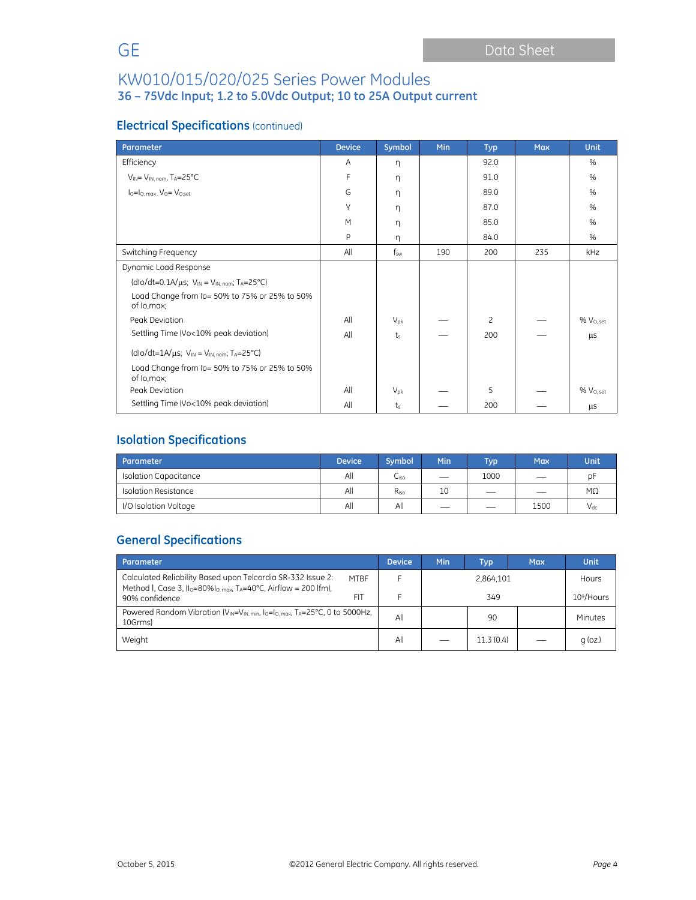# **Electrical Specifications** (continued)

| Parameter                                                                             | <b>Device</b> | Symbol          | Min | <b>Typ</b>     | <b>Max</b> | <b>Unit</b>           |
|---------------------------------------------------------------------------------------|---------------|-----------------|-----|----------------|------------|-----------------------|
| Efficiency                                                                            | A             | η               |     | 92.0           |            | %                     |
| $V_{IN} = V_{IN. nom.} T_A = 25°C$                                                    | F             | η               |     | 91.0           |            | %                     |
| $I_0 = I_0$ . max. $V_0 = V_0$ set                                                    | G             | η               |     | 89.0           |            | %                     |
|                                                                                       | Υ             | η               |     | 87.0           |            | %                     |
|                                                                                       | M             | η               |     | 85.0           |            | %                     |
|                                                                                       | P             | η               |     | 84.0           |            | $\%$                  |
| Switching Frequency                                                                   | All           | $f_{sw}$        | 190 | 200            | 235        | kHz                   |
| Dynamic Load Response                                                                 |               |                 |     |                |            |                       |
| (dlo/dt=0.1A/ $\mu$ s; V <sub>IN</sub> = V <sub>IN. nom</sub> ; T <sub>A</sub> =25°C) |               |                 |     |                |            |                       |
| Load Change from Io= 50% to 75% or 25% to 50%<br>of lo, max;                          |               |                 |     |                |            |                       |
| Peak Deviation                                                                        | All           | $V_{\text{pk}}$ |     | $\overline{c}$ |            | % V <sub>O. set</sub> |
| Settling Time (Vo<10% peak deviation)                                                 | All           | $t_{s}$         |     | 200            |            | μS                    |
| $(dlo/dt=1A/\mu s; VIN = VIN. nom; TA=25°C)$                                          |               |                 |     |                |            |                       |
| Load Change from Io= 50% to 75% or 25% to 50%<br>of lo, max;                          |               |                 |     |                |            |                       |
| Peak Deviation                                                                        | All           | $V_{pk}$        |     | 5              |            | % V <sub>O. set</sub> |
| Settling Time (Vo<10% peak deviation)                                                 | All           | $t_s$           |     | 200            |            | μS                    |

# **Isolation Specifications**

| Parameter                    | <b>Device</b> | Symbol           | Min                      | Typ i                         | Max                      | <b>Unit</b> |
|------------------------------|---------------|------------------|--------------------------|-------------------------------|--------------------------|-------------|
| <b>Isolation Capacitance</b> | All           | C <sub>iso</sub> |                          | 1000                          | $\overline{\phantom{a}}$ | pF          |
| Isolation Resistance         | All           | $R_{iso}$        | 10                       | $\overbrace{\phantom{12332}}$ | $\overline{\phantom{a}}$ | $M\Omega$   |
| I/O Isolation Voltage        | All           | All              | $\overline{\phantom{a}}$ | $\overline{\phantom{a}}$      | 1500                     | $V_{dc}$    |

# **General Specifications**

| Parameter                                                                                                                                                           | <b>Device</b> | Min | Typ       | <b>Max</b> | Unit         |
|---------------------------------------------------------------------------------------------------------------------------------------------------------------------|---------------|-----|-----------|------------|--------------|
| Calculated Reliability Based upon Telcordia SR-332 Issue 2:<br><b>MTRF</b><br>Method I, Case 3, $I_0 = 80\% I_{0. max}$ , T <sub>A</sub> =40°C, Airflow = 200 lfm), |               |     | 2.864.101 |            | <b>Hours</b> |
| FIT<br>90% confidence                                                                                                                                               |               |     | 349       |            |              |
| Powered Random Vibration ( $V_{IN} = V_{IN,min}$ , $I_0 = I_0$ max, $T_A = 25^{\circ}C$ , 0 to 5000Hz,<br>10Grms)                                                   |               |     | 90        |            | Minutes      |
| Weight                                                                                                                                                              |               |     | 11.3(0.4) |            | $q$ (oz.)    |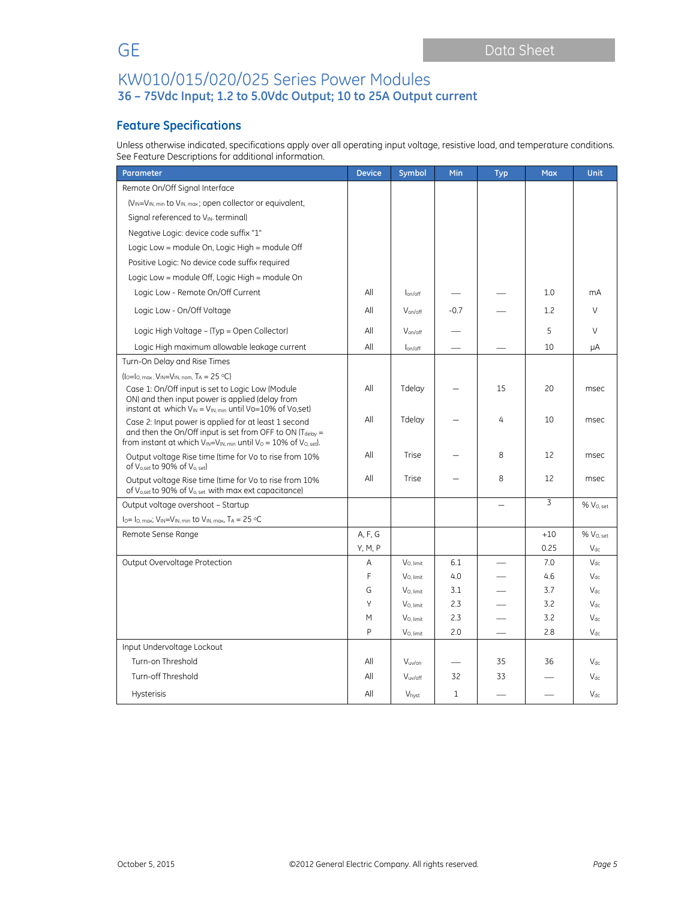# **Feature Specifications**

Unless otherwise indicated, specifications apply over all operating input voltage, resistive load, and temperature conditions. See Feature Descriptions for additional information.

| Parameter                                                                                                                                                                                                     | <b>Device</b> | Symbol                | Min    | <b>Typ</b>               | <b>Max</b>     | <b>Unit</b>           |
|---------------------------------------------------------------------------------------------------------------------------------------------------------------------------------------------------------------|---------------|-----------------------|--------|--------------------------|----------------|-----------------------|
| Remote On/Off Signal Interface                                                                                                                                                                                |               |                       |        |                          |                |                       |
| (V <sub>IN</sub> =V <sub>IN, min</sub> to V <sub>IN, max</sub> ; open collector or equivalent,                                                                                                                |               |                       |        |                          |                |                       |
| Signal referenced to V <sub>IN</sub> terminal)                                                                                                                                                                |               |                       |        |                          |                |                       |
| Negative Logic: device code suffix "1"                                                                                                                                                                        |               |                       |        |                          |                |                       |
| Logic Low = module On, Logic High = module Off                                                                                                                                                                |               |                       |        |                          |                |                       |
| Positive Logic: No device code suffix required                                                                                                                                                                |               |                       |        |                          |                |                       |
| Logic Low = module Off, Logic High = module On                                                                                                                                                                |               |                       |        |                          |                |                       |
| Logic Low - Remote On/Off Current                                                                                                                                                                             | All           | lon/off               |        |                          | 1.0            | mA                    |
| Logic Low - On/Off Voltage                                                                                                                                                                                    | All           | $V_{on/off}$          | $-0.7$ |                          | 1.2            | $\vee$                |
| Logic High Voltage - (Typ = Open Collector)                                                                                                                                                                   | All           | V <sub>on/off</sub>   |        |                          | 5              | V                     |
| Logic High maximum allowable leakage current                                                                                                                                                                  | All           | lon/off               |        |                          | 10             | μA                    |
| Turn-On Delay and Rise Times                                                                                                                                                                                  |               |                       |        |                          |                |                       |
| $(I_0=I_0$ , max, $V_{IN}=V_{IN}$ , nom, TA = 25 °C)                                                                                                                                                          |               |                       |        |                          |                |                       |
| Case 1: On/Off input is set to Logic Low (Module<br>ON) and then input power is applied (delay from<br>instant at which $V_{IN} = V_{IN,min}$ until Vo=10% of Vo,set)                                         | All           | Tdelay                |        | 15                       | 20             | msec                  |
| Case 2: Input power is applied for at least 1 second<br>and then the On/Off input is set from OFF to ON ( $T_{delay}$ =<br>from instant at which $V_{IN} = V_{IN, min}$ until $V_0 = 10\%$ of $V_{O, set}$ ). | All           | Tdelay                |        | 4                        | 10             | msec                  |
| Output voltage Rise time (time for Vo to rise from 10%<br>of V <sub>o,set</sub> to 90% of V <sub>o, set</sub> )                                                                                               | All           | Trise                 |        | 8                        | 12             | msec                  |
| Output voltage Rise time (time for Vo to rise from 10%<br>of V <sub>o,set</sub> to 90% of V <sub>o, set</sub> with max ext capacitance)                                                                       | All           | Trise                 |        | 8                        | 12             | msec                  |
| Output voltage overshoot - Startup                                                                                                                                                                            |               |                       |        | $\overline{\phantom{0}}$ | $\overline{3}$ | % V <sub>O, set</sub> |
| $I_0 = I_{0, max}$ ; $V_{IN} = V_{IN, min}$ to $V_{IN, max}$ , $T_A = 25$ °C                                                                                                                                  |               |                       |        |                          |                |                       |
| Remote Sense Range                                                                                                                                                                                            | A, F, G       |                       |        |                          | $+10$          | % V <sub>O. set</sub> |
|                                                                                                                                                                                                               | Y, M, P       |                       |        |                          | 0.25           | $V_{dc}$              |
| Output Overvoltage Protection                                                                                                                                                                                 | Α             | V <sub>O.</sub> limit | 6.1    |                          | 7.0            | $V_{dc}$              |
|                                                                                                                                                                                                               | F             | V <sub>O.</sub> limit | 4.0    |                          | 4.6            | $V_{dc}$              |
|                                                                                                                                                                                                               | G             | V <sub>O.</sub> limit | 3.1    |                          | 3.7            | $V_{dc}$              |
|                                                                                                                                                                                                               | Υ             | V <sub>O.</sub> limit | 2.3    |                          | 3.2            | $V_{dc}$              |
|                                                                                                                                                                                                               | M             | V <sub>O.</sub> limit | 2.3    |                          | 3.2            | $V_{dc}$              |
|                                                                                                                                                                                                               | p             | V <sub>O, limit</sub> | 2.0    |                          | 2.8            | $V_{dc}$              |
| Input Undervoltage Lockout                                                                                                                                                                                    |               |                       |        |                          |                |                       |
| Turn-on Threshold                                                                                                                                                                                             | All           | V <sub>uv</sub> /on   |        | 35                       | 36             | $V_{dc}$              |
| Turn-off Threshold                                                                                                                                                                                            | All           | V <sub>uv/off</sub>   | 32     | 33                       |                | $V_{dc}$              |
| <b>Hysterisis</b>                                                                                                                                                                                             | All           | Vhyst                 | 1      |                          |                | $V_{dc}$              |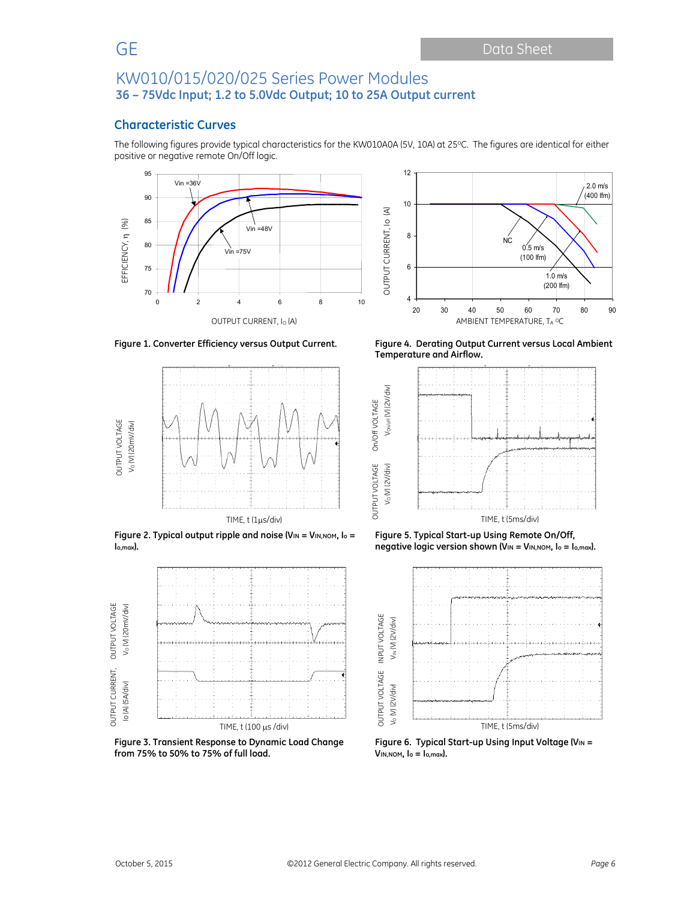## **Characteristic Curves**

The following figures provide typical characteristics for the KW010A0A (5V, 10A) at 25°C. The figures are identical for either positive or negative remote On/Off logic.

OUTPUT VOLTAGE On/Off VOLTAGE

On/Off VOLTAGE







**Figure 2. Typical output ripple and noise (VIN = VIN,NOM, Io = Io,max).** 



**Figure 3. Transient Response to Dynamic Load Change from 75% to 50% to 75% of full load.** 



**Figure 1. Converter Efficiency versus Output Current. Figure 4. Derating Output Current versus Local Ambient Temperature and Airflow.** 



**Figure 5. Typical Start-up Using Remote On/Off, negative logic version shown (VIN = VIN, NOM, lo = lo, max).** 



Figure 6. Typical Start-up Using Input Voltage (VIN = **VIN,NOM, Io = Io,max).**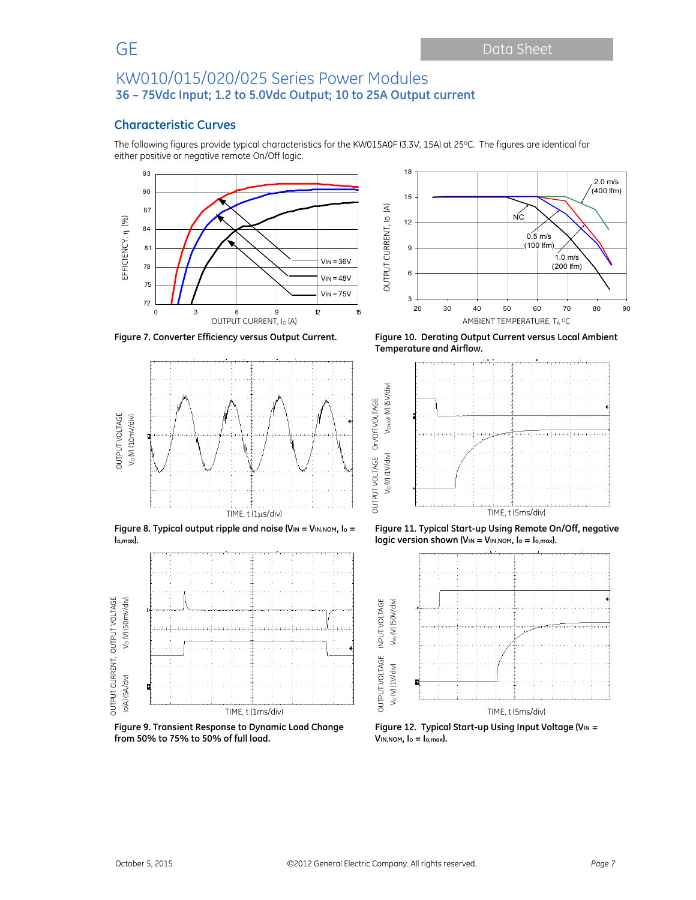## **Characteristic Curves**

The following figures provide typical characteristics for the KW015A0F (3.3V, 15A) at 25°C. The figures are identical for either positive or negative remote On/Off logic.





**Figure 8. Typical output ripple and noise (VIN = VIN,NOM, Io = Io,max).** 



**Figure 9. Transient Response to Dynamic Load Change from 50% to 75% to 50% of full load.** 



**Figure 7. Converter Efficiency versus Output Current. Figure 10. Derating Output Current versus Local Ambient Temperature and Airflow.** 



**Figure 11. Typical Start-up Using Remote On/Off, negative logic version shown (V<sub>IN</sub> = V<sub>IN,NOM</sub>, l<sub>o</sub> = l<sub>o,max</sub>).** 



Figure 12. Typical Start-up Using Input Voltage (V<sub>IN</sub> = **VIN,NOM, Io = Io,max).**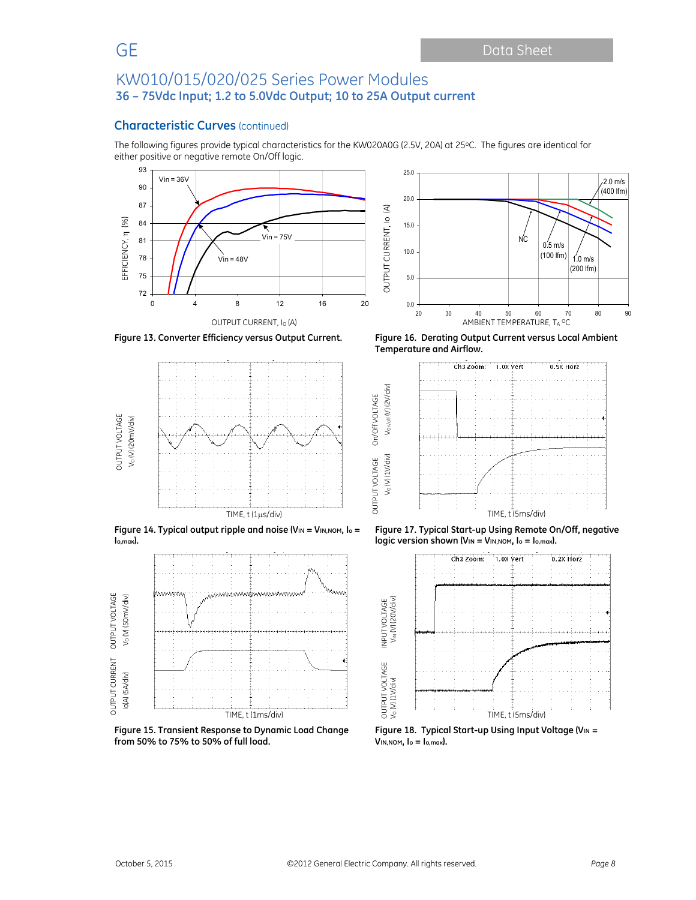### **Characteristic Curves** (continued)

The following figures provide typical characteristics for the KW020A0G (2.5V, 20A) at 25°C. The figures are identical for either positive or negative remote On/Off logic.

OUTPUT VOLTAGE On/Off VOLTAGE

On/Off VOLTAGE

25.0





**Figure 14. Typical output ripple and noise (VIN = VIN, NOM, lo = Io,max).** 



**Figure 15. Transient Response to Dynamic Load Change from 50% to 75% to 50% of full load.** 



**Figure 13. Converter Efficiency versus Output Current. Figure 16. Derating Output Current versus Local Ambient Temperature and Airflow.** 



**Figure 17. Typical Start-up Using Remote On/Off, negative logic version shown (V<sub>IN</sub> = V<sub>IN,NOM</sub>, l<sub>o</sub> = l<sub>o,max</sub>).** 



Figure 18. Typical Start-up Using Input Voltage (V<sub>IN</sub> = **VIN,NOM, Io = Io,max).** 

OUTPUT VOLTAGE INPUT VOLTAGE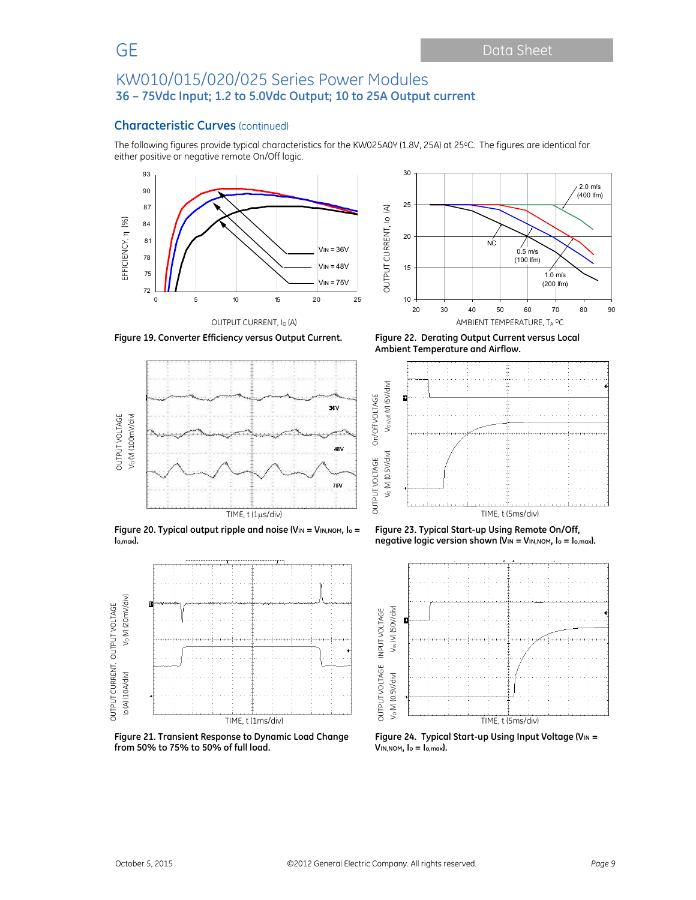### **Characteristic Curves** (continued)

The following figures provide typical characteristics for the KW025A0Y (1.8V, 25A) at 25°C. The figures are identical for either positive or negative remote On/Off logic.

30







**Figure 19. Converter Efficiency versus Output Current. Figure 22. Derating Output Current versus Local** 



**Figure 20. Typical output ripple and noise (VIN = VIN,NOM, Io = Io,max).** 



**Figure 21. Transient Response to Dynamic Load Change from 50% to 75% to 50% of full load.** 

**Ambient Temperature and Airflow.** 



**Figure 23. Typical Start-up Using Remote On/Off, negative logic version shown (V<sub>IN</sub> = V<sub>IN,NOM</sub>, I<sub>o</sub> = I<sub>o,max</sub>).** 



Figure 24. Typical Start-up Using Input Voltage (VIN = **VIN,NOM, Io = Io,max).**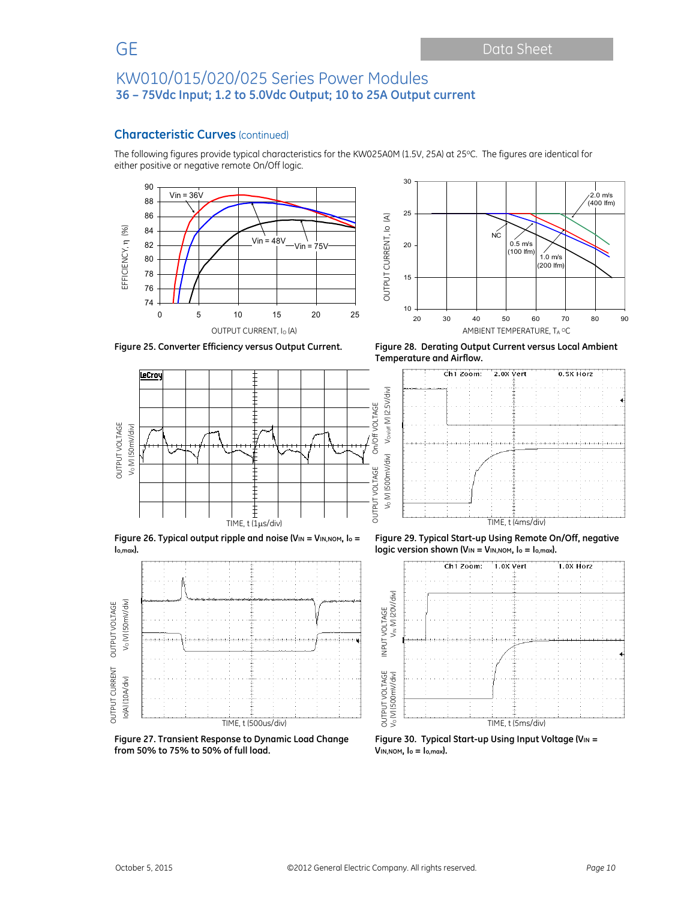## **Characteristic Curves** (continued)

The following figures provide typical characteristics for the KW025A0M (1.5V, 25A) at 25°C. The figures are identical for either positive or negative remote On/Off logic.







**Figure 26. Typical output ripple and noise (VIN = VIN,NOM, Io = Io,max).** 



**Figure 27. Transient Response to Dynamic Load Change from 50% to 75% to 50% of full load.** 

**Figure 25. Converter Efficiency versus Output Current. Figure 28. Derating Output Current versus Local Ambient Temperature and Airflow.** 



**Figure 29. Typical Start-up Using Remote On/Off, negative logic version shown (VIN = VIN, NOM, lo = lo, max).** 



**Figure 30. Typical Start-up Using Input Voltage (VIN = VIN,NOM, Io = Io,max).**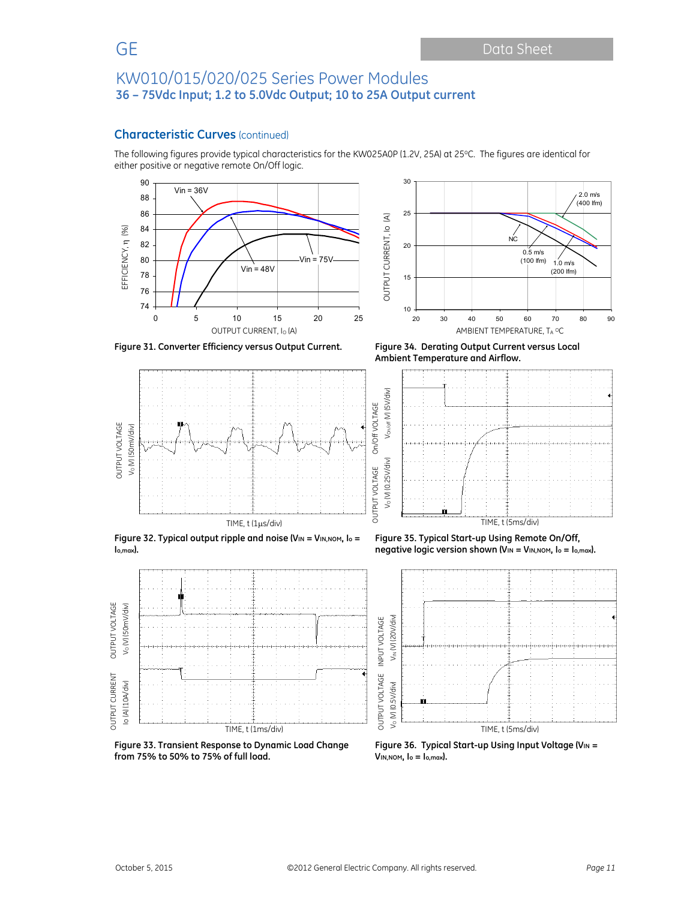## **Characteristic Curves** (continued)

The following figures provide typical characteristics for the KW025A0P (1.2V, 25A) at 25oC. The figures are identical for either positive or negative remote On/Off logic.









**Ambient Temperature and Airflow.** 



**Figure 32. Typical output ripple and noise (VIN = VIN,NOM, Io = Io,max).** 

**Figure 35. Typical Start-up Using Remote On/Off, negative logic version shown (VIN = VIN,NOM, Io = Io,max).** 



**Figure 33. Transient Response to Dynamic Load Change from 75% to 50% to 75% of full load.** 

**Figure 36. Typical Start-up Using Input Voltage (VIN = VIN,NOM, Io = Io,max).** 

 OUTPUT CURRENT OUTPUT VOLTAGE Io (A) (10A/div) VO (V) (50mV/div)

**OUTPUT CURRENT** lo (A) (10A/div)

OUTPUT VOLTAGE V<sub>o</sub> (V) (50mV/div)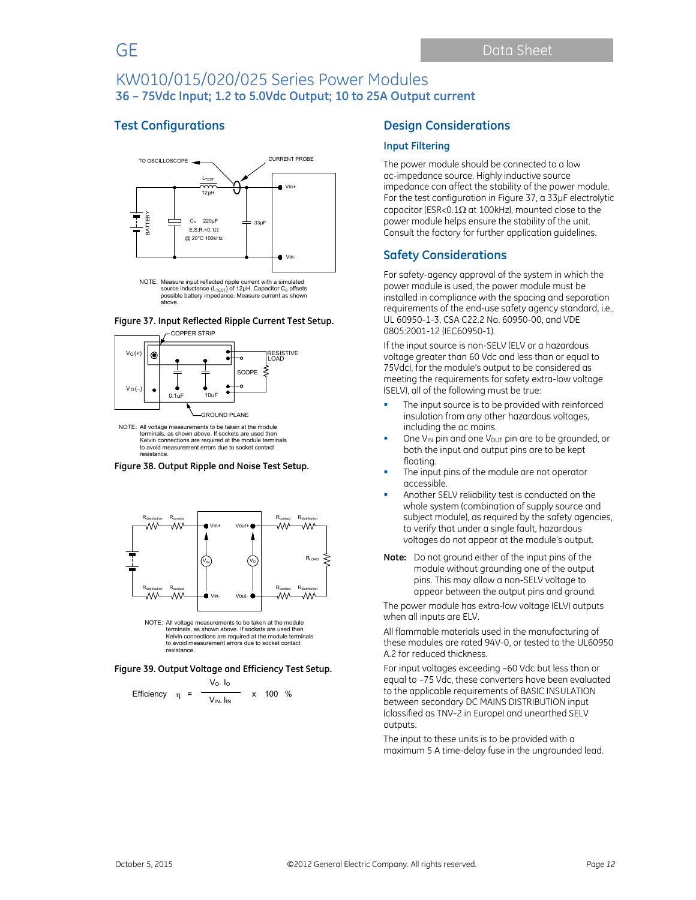## **Test Configurations**







NOTE: All voltage measurements to be taken at the module terminals, as shown above. If sockets are used then Kelvin connections are required at the module terminals to avoid measurement errors due to socket contact resistance.

**Figure 38. Output Ripple and Noise Test Setup.** 



NOTE: All voltage measurements to be taken at the module terminals, as shown above. If sockets are used then Kelvin connections are required at the module terminals to avoid measurement errors due to socket contact resistance.

**Figure 39. Output Voltage and Efficiency Test Setup.**

Efficiency 
$$
\eta = \frac{V_0 I_0}{V_{IN} I_{IN}}
$$
 x 100 %

### **Design Considerations**

#### **Input Filtering**

The power module should be connected to a low ac-impedance source. Highly inductive source impedance can affect the stability of the power module. For the test configuration in Figure 37, a 33μF electrolytic capacitor (ESR<0.1 $\Omega$  at 100kHz), mounted close to the power module helps ensure the stability of the unit. Consult the factory for further application guidelines.

## **Safety Considerations**

For safety-agency approval of the system in which the power module is used, the power module must be installed in compliance with the spacing and separation requirements of the end-use safety agency standard, i.e., UL 60950-1-3, CSA C22.2 No. 60950-00, and VDE 0805:2001-12 (IEC60950-1).

If the input source is non-SELV (ELV or a hazardous voltage greater than 60 Vdc and less than or equal to 75Vdc), for the module's output to be considered as meeting the requirements for safety extra-low voltage (SELV), all of the following must be true:

- The input source is to be provided with reinforced insulation from any other hazardous voltages, including the ac mains.
- One V<sub>IN</sub> pin and one V<sub>OUT</sub> pin are to be grounded, or both the input and output pins are to be kept floating.
- The input pins of the module are not operator accessible.
- Another SELV reliability test is conducted on the whole system (combination of supply source and subject module), as required by the safety agencies, to verify that under a single fault, hazardous voltages do not appear at the module's output.
- **Note:** Do not ground either of the input pins of the module without grounding one of the output pins. This may allow a non-SELV voltage to appear between the output pins and ground.

The power module has extra-low voltage (ELV) outputs when all inputs are ELV.

All flammable materials used in the manufacturing of these modules are rated 94V-0, or tested to the UL60950 A.2 for reduced thickness.

For input voltages exceeding –60 Vdc but less than or equal to –75 Vdc, these converters have been evaluated to the applicable requirements of BASIC INSULATION between secondary DC MAINS DISTRIBUTION input (classified as TNV-2 in Europe) and unearthed SELV outputs.

The input to these units is to be provided with a maximum 5 A time-delay fuse in the ungrounded lead.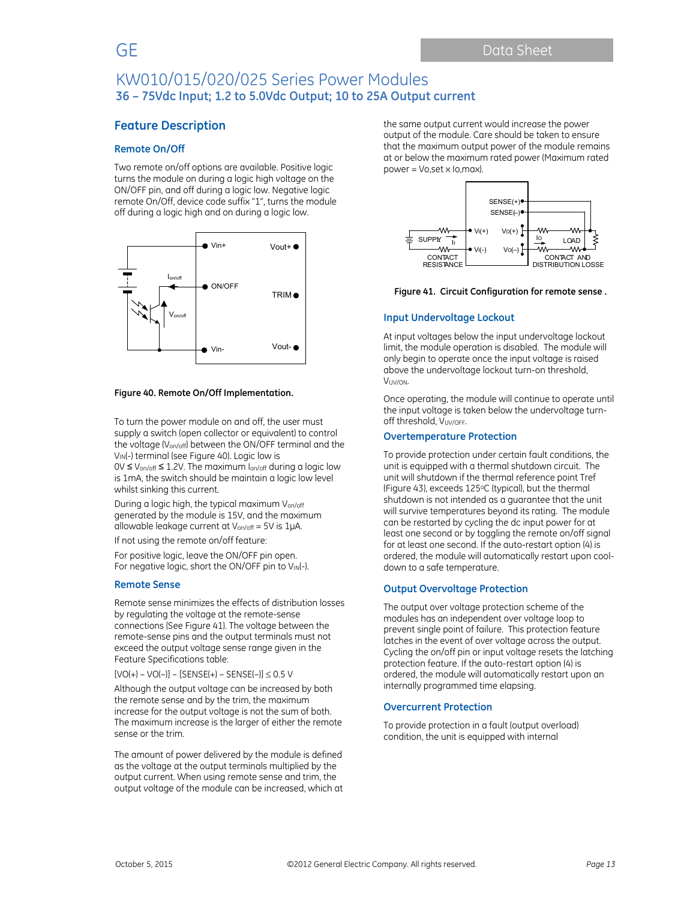## **Feature Description**

### **Remote On/Off**

Two remote on/off options are available. Positive logic turns the module on during a logic high voltage on the ON/OFF pin, and off during a logic low. Negative logic remote On/Off, device code suffix "1", turns the module off during a logic high and on during a logic low.



#### **Figure 40. Remote On/Off Implementation.**

To turn the power module on and off, the user must supply a switch (open collector or equivalent) to control the voltage (Von/off) between the ON/OFF terminal and the V<sub>IN</sub>(-) terminal (see Figure 40). Logic low is  $0 \vee \leq V_{on/off} \leq 1.2 V$ . The maximum  $I_{on/off}$  during a logic low is 1mA, the switch should be maintain a logic low level whilst sinking this current.

During a logic high, the typical maximum Von/off generated by the module is 15V, and the maximum allowable leakage current at Von/off = 5V is 1μA.

If not using the remote on/off feature:

For positive logic, leave the ON/OFF pin open. For negative logic, short the ON/OFF pin to VIN(-).

#### **Remote Sense**

Remote sense minimizes the effects of distribution losses by regulating the voltage at the remote-sense connections (See Figure 41). The voltage between the remote-sense pins and the output terminals must not exceed the output voltage sense range given in the Feature Specifications table:

 $[VO(+) - VO(-)] - [SENSE(+) - SENSE(-)] \leq 0.5 V$ 

Although the output voltage can be increased by both the remote sense and by the trim, the maximum increase for the output voltage is not the sum of both. The maximum increase is the larger of either the remote sense or the trim.

The amount of power delivered by the module is defined as the voltage at the output terminals multiplied by the output current. When using remote sense and trim, the output voltage of the module can be increased, which at the same output current would increase the power output of the module. Care should be taken to ensure that the maximum output power of the module remains at or below the maximum rated power (Maximum rated power = Vo,set x Io,max).



#### **Figure 41. Circuit Configuration for remote sense .**

#### **Input Undervoltage Lockout**

At input voltages below the input undervoltage lockout limit, the module operation is disabled. The module will only begin to operate once the input voltage is raised above the undervoltage lockout turn-on threshold, VUV/ON.

Once operating, the module will continue to operate until the input voltage is taken below the undervoltage turnoff threshold, VUV/OFF.

#### **Overtemperature Protection**

To provide protection under certain fault conditions, the unit is equipped with a thermal shutdown circuit. The unit will shutdown if the thermal reference point Tref (Figure 43), exceeds 125oC (typical), but the thermal shutdown is not intended as a guarantee that the unit will survive temperatures beyond its rating. The module can be restarted by cycling the dc input power for at least one second or by toggling the remote on/off signal for at least one second. If the auto-restart option (4) is ordered, the module will automatically restart upon cooldown to a safe temperature.

#### **Output Overvoltage Protection**

The output over voltage protection scheme of the modules has an independent over voltage loop to prevent single point of failure. This protection feature latches in the event of over voltage across the output. Cycling the on/off pin or input voltage resets the latching protection feature. If the auto-restart option (4) is ordered, the module will automatically restart upon an internally programmed time elapsing.

#### **Overcurrent Protection**

To provide protection in a fault (output overload) condition, the unit is equipped with internal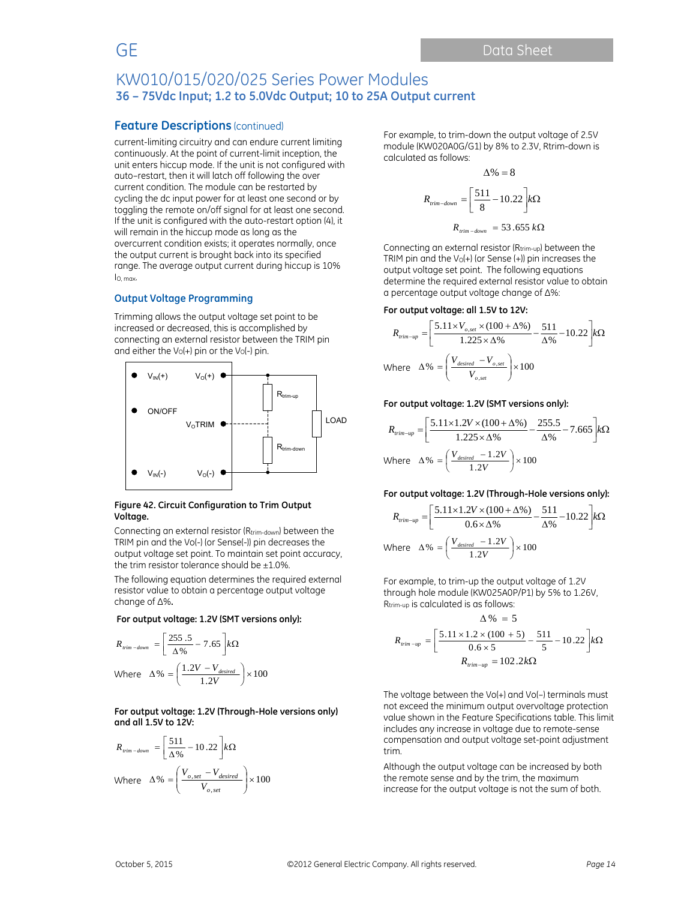### **Feature Descriptions** (continued)

current-limiting circuitry and can endure current limiting continuously. At the point of current-limit inception, the unit enters hiccup mode. If the unit is not configured with auto–restart, then it will latch off following the over current condition. The module can be restarted by cycling the dc input power for at least one second or by toggling the remote on/off signal for at least one second. If the unit is configured with the auto-restart option (4), it will remain in the hiccup mode as long as the overcurrent condition exists; it operates normally, once the output current is brought back into its specified range. The average output current during hiccup is 10% IO, max.

#### **Output Voltage Programming**

Trimming allows the output voltage set point to be increased or decreased, this is accomplished by connecting an external resistor between the TRIM pin and either the  $V_0(+)$  pin or the  $V_0(-)$  pin.



#### **Figure 42. Circuit Configuration to Trim Output Voltage.**

Connecting an external resistor (Rtrim-down) between the TRIM pin and the Vo(-) (or Sense(-)) pin decreases the output voltage set point. To maintain set point accuracy, the trim resistor tolerance should be  $\pm 1.0\%$ .

The following equation determines the required external resistor value to obtain a percentage output voltage change of ∆%**.** 

#### **For output voltage: 1.2V (SMT versions only):**

$$
R_{\text{rim-down}} = \left[\frac{255.5}{\Delta\%} - 7.65\right] k\Omega
$$
  
Where  $\Delta\% = \left(\frac{1.2V - V_{desired}}{1.2V}\right) \times 100$ 

**For output voltage: 1.2V (Through-Hole versions only) and all 1.5V to 12V:** 

$$
R_{\text{trim-down}} = \left[\frac{511}{\Delta\%} - 10.22\right] k\Omega
$$
  
Where  $\Delta\% = \left(\frac{V_{o,set} - V_{desired}}{V_{o,set}}\right) \times 100$ 

For example, to trim-down the output voltage of 2.5V module (KW020A0G/G1) by 8% to 2.3V, Rtrim-down is calculated as follows:

 $\lambda$   $\alpha$   $\alpha$ 

$$
\Delta\% = 8
$$
  

$$
R_{\text{trim-down}} = \left[\frac{511}{8} - 10.22\right] k\Omega
$$
  

$$
R_{\text{trim-down}} = 53.655 k\Omega
$$

Connecting an external resistor (Rtrim-up) between the TRIM pin and the  $V_0(+)$  (or Sense  $(+)$ ) pin increases the output voltage set point. The following equations determine the required external resistor value to obtain a percentage output voltage change of ∆%:

#### **For output voltage: all 1.5V to 12V:**

$$
R_{trim-up} = \left[\frac{5.11 \times V_{o,set} \times (100 + \Delta\%)}{1.225 \times \Delta\%} - \frac{511}{\Delta\%} - 10.22\right] k\Omega
$$
  
Where 
$$
\Delta\% = \left(\frac{V_{desired} - V_{o,set}}{V_{o,set}}\right) \times 100
$$

#### **For output voltage: 1.2V (SMT versions only):**

$$
R_{\text{trim-up}} = \left[\frac{5.11 \times 1.2V \times (100 + \Delta\%)}{1.225 \times \Delta\%} - \frac{255.5}{\Delta\%} - 7.665\right] k\Omega
$$
  
Where  $\Delta\% = \left(\frac{V_{\text{desired}} - 1.2V}{1.2V}\right) \times 100$ 

#### **For output voltage: 1.2V (Through-Hole versions only):**

$$
R_{\text{trim-up}} = \left[\frac{5.11 \times 1.2V \times (100 + \Delta\%)}{0.6 \times \Delta\%} - \frac{511}{\Delta\%} - 10.22\right] k\Omega
$$
  
Where 
$$
\Delta\% = \left(\frac{V_{\text{desired}} - 1.2V}{1.2V}\right) \times 100
$$

For example, to trim-up the output voltage of 1.2V through hole module (KW025A0P/P1) by 5% to 1.26V, Rtrim-up is calculated is as follows:

$$
\Delta\% = 5
$$
  

$$
R_{\text{trim-up}} = \left[\frac{5.11 \times 1.2 \times (100 + 5)}{0.6 \times 5} - \frac{511}{5} - 10.22\right] k\Omega
$$
  

$$
R_{\text{trim-up}} = 102.2 k\Omega
$$

The voltage between the Vo(+) and Vo(–) terminals must not exceed the minimum output overvoltage protection value shown in the Feature Specifications table. This limit includes any increase in voltage due to remote-sense compensation and output voltage set-point adjustment trim.

Although the output voltage can be increased by both the remote sense and by the trim, the maximum increase for the output voltage is not the sum of both.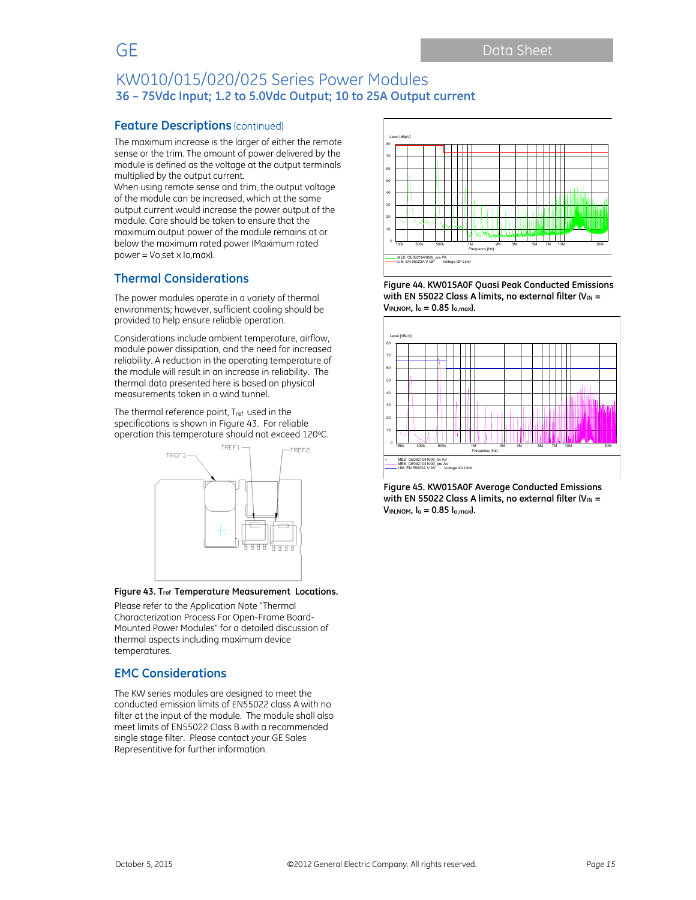## **Feature Descriptions** (continued)

The maximum increase is the larger of either the remote sense or the trim. The amount of power delivered by the module is defined as the voltage at the output terminals multiplied by the output current.

When using remote sense and trim, the output voltage of the module can be increased, which at the same output current would increase the power output of the module. Care should be taken to ensure that the maximum output power of the module remains at or below the maximum rated power (Maximum rated power = Vo,set x Io,max).

# **Thermal Considerations**

The power modules operate in a variety of thermal environments; however, sufficient cooling should be provided to help ensure reliable operation.

Considerations include ambient temperature, airflow, module power dissipation, and the need for increased reliability. A reduction in the operating temperature of the module will result in an increase in reliability. The thermal data presented here is based on physical measurements taken in a wind tunnel.

The thermal reference point, Tref used in the specifications is shown in Figure 43. For reliable operation this temperature should not exceed 120°C.



#### **Figure 43. Tref Temperature Measurement Locations.**

Please refer to the Application Note "Thermal Characterization Process For Open-Frame Board-Mounted Power Modules" for a detailed discussion of thermal aspects including maximum device temperatures.

## **EMC Considerations**

The KW series modules are designed to meet the conducted emission limits of EN55022 class A with no filter at the input of the module. The module shall also meet limits of EN55022 Class B with a recommended single stage filter. Please contact your GE Sales Representitive for further information.



**Figure 44. KW015A0F Quasi Peak Conducted Emissions**  with EN 55022 Class A limits, no external filter (V<sub>IN</sub> = **VIN,NOM, Io = 0.85 Io,max).** 



**Figure 45. KW015A0F Average Conducted Emissions**  with EN 55022 Class A limits, no external filter (V<sub>IN</sub> = **VIN,NOM, Io = 0.85 Io,max).**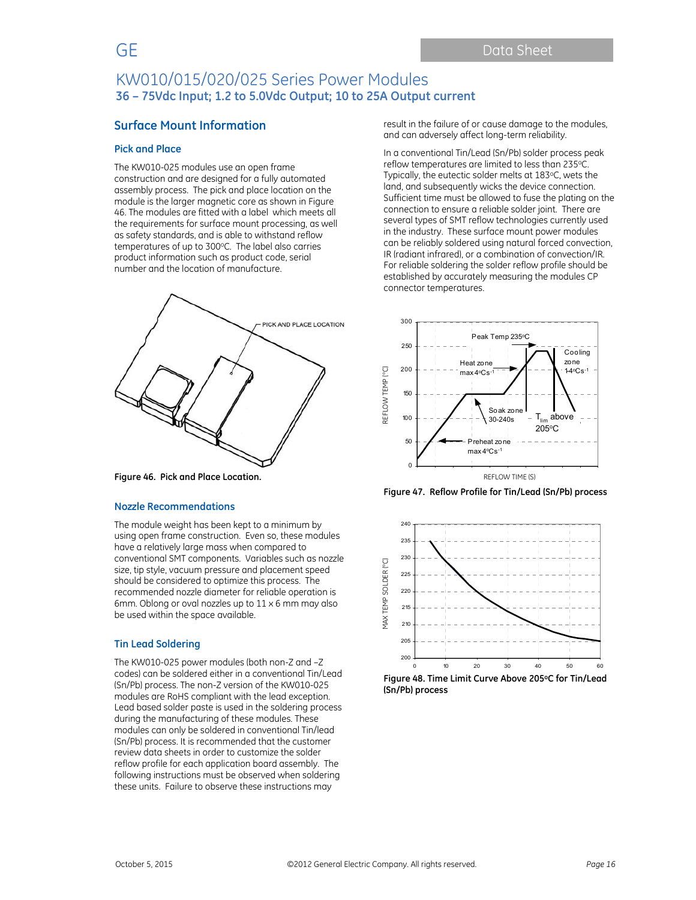## **Surface Mount Information**

#### **Pick and Place**

The KW010-025 modules use an open frame construction and are designed for a fully automated assembly process. The pick and place location on the module is the larger magnetic core as shown in Figure 46. The modules are fitted with a label which meets all the requirements for surface mount processing, as well as safety standards, and is able to withstand reflow temperatures of up to 300°C. The label also carries product information such as product code, serial number and the location of manufacture.



**Figure 46. Pick and Place Location.** 

#### **Nozzle Recommendations**

The module weight has been kept to a minimum by using open frame construction. Even so, these modules have a relatively large mass when compared to conventional SMT components. Variables such as nozzle size, tip style, vacuum pressure and placement speed should be considered to optimize this process. The recommended nozzle diameter for reliable operation is 6mm. Oblong or oval nozzles up to 11 x 6 mm may also be used within the space available.

### **Tin Lead Soldering**

The KW010-025 power modules (both non-Z and –Z codes) can be soldered either in a conventional Tin/Lead (Sn/Pb) process. The non-Z version of the KW010-025 modules are RoHS compliant with the lead exception. Lead based solder paste is used in the soldering process during the manufacturing of these modules. These modules can only be soldered in conventional Tin/lead (Sn/Pb) process. It is recommended that the customer review data sheets in order to customize the solder reflow profile for each application board assembly. The following instructions must be observed when soldering these units. Failure to observe these instructions may

result in the failure of or cause damage to the modules, and can adversely affect long-term reliability.

In a conventional Tin/Lead (Sn/Pb) solder process peak reflow temperatures are limited to less than 235°C. Typically, the eutectic solder melts at 183°C, wets the land, and subsequently wicks the device connection. Sufficient time must be allowed to fuse the plating on the connection to ensure a reliable solder joint. There are several types of SMT reflow technologies currently used in the industry. These surface mount power modules can be reliably soldered using natural forced convection, IR (radiant infrared), or a combination of convection/IR. For reliable soldering the solder reflow profile should be established by accurately measuring the modules CP connector temperatures.



**Figure 47. Reflow Profile for Tin/Lead (Sn/Pb) process** 



**Figure 48. Time Limit Curve Above 205oC for Tin/Lead (Sn/Pb) process**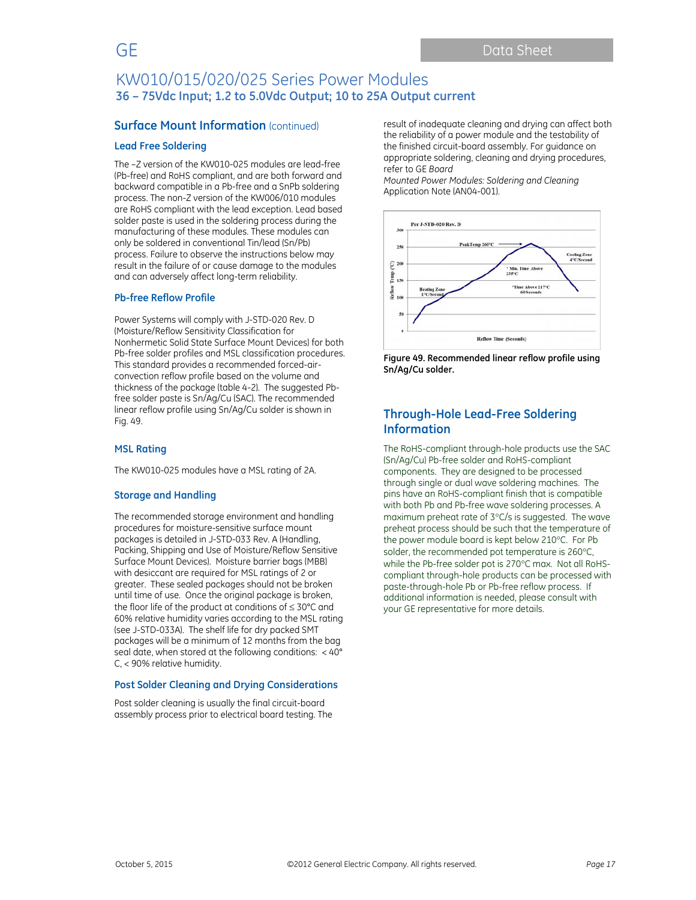## **Surface Mount Information (continued)**

#### **Lead Free Soldering**

The –Z version of the KW010-025 modules are lead-free (Pb-free) and RoHS compliant, and are both forward and backward compatible in a Pb-free and a SnPb soldering process. The non-Z version of the KW006/010 modules are RoHS compliant with the lead exception. Lead based solder paste is used in the soldering process during the manufacturing of these modules. These modules can only be soldered in conventional Tin/lead (Sn/Pb) process. Failure to observe the instructions below may result in the failure of or cause damage to the modules and can adversely affect long-term reliability.

#### **Pb-free Reflow Profile**

Power Systems will comply with J-STD-020 Rev. D (Moisture/Reflow Sensitivity Classification for Nonhermetic Solid State Surface Mount Devices) for both Pb-free solder profiles and MSL classification procedures. This standard provides a recommended forced-airconvection reflow profile based on the volume and thickness of the package (table 4-2). The suggested Pbfree solder paste is Sn/Ag/Cu (SAC). The recommended linear reflow profile using Sn/Ag/Cu solder is shown in Fig. 49.

#### **MSL Rating**

The KW010-025 modules have a MSL rating of 2A.

#### **Storage and Handling**

The recommended storage environment and handling procedures for moisture-sensitive surface mount packages is detailed in J-STD-033 Rev. A (Handling, Packing, Shipping and Use of Moisture/Reflow Sensitive Surface Mount Devices). Moisture barrier bags (MBB) with desiccant are required for MSL ratings of 2 or greater. These sealed packages should not be broken until time of use. Once the original package is broken, the floor life of the product at conditions of  $\leq 30^{\circ}$ C and 60% relative humidity varies according to the MSL rating (see J-STD-033A). The shelf life for dry packed SMT packages will be a minimum of 12 months from the bag seal date, when stored at the following conditions: < 40° C, < 90% relative humidity.

#### **Post Solder Cleaning and Drying Considerations**

Post solder cleaning is usually the final circuit-board assembly process prior to electrical board testing. The result of inadequate cleaning and drying can affect both the reliability of a power module and the testability of the finished circuit-board assembly. For guidance on appropriate soldering, cleaning and drying procedures, refer to GE *Board* 

*Mounted Power Modules: Soldering and Cleaning* Application Note (AN04-001).



**Figure 49. Recommended linear reflow profile using Sn/Ag/Cu solder.** 

## **Through-Hole Lead-Free Soldering Information**

The RoHS-compliant through-hole products use the SAC (Sn/Ag/Cu) Pb-free solder and RoHS-compliant components. They are designed to be processed through single or dual wave soldering machines. The pins have an RoHS-compliant finish that is compatible with both Pb and Pb-free wave soldering processes. A maximum preheat rate of 3°C/s is suggested. The wave preheat process should be such that the temperature of the power module board is kept below 210°C. For Pb solder, the recommended pot temperature is 260°C. while the Pb-free solder pot is 270°C max. Not all RoHScompliant through-hole products can be processed with paste-through-hole Pb or Pb-free reflow process. If additional information is needed, please consult with your GE representative for more details.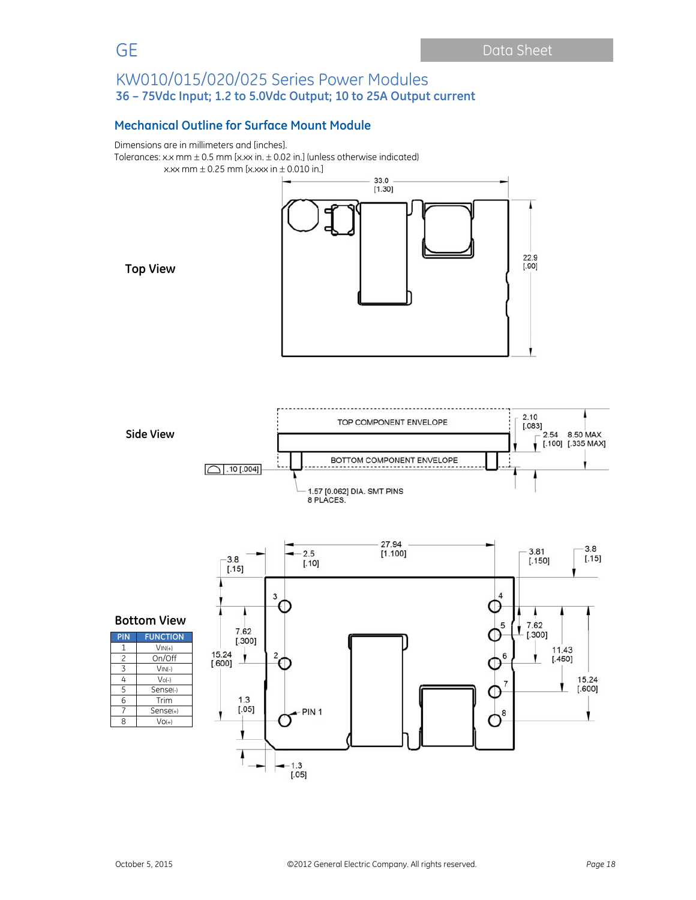# **Mechanical Outline for Surface Mount Module**

Dimensions are in millimeters and [inches]. Tolerances: x.x mm  $\pm$  0.5 mm [x.xx in.  $\pm$  0.02 in.] (unless otherwise indicated) x.xx mm  $\pm$  0.25 mm [x.xxx in  $\pm$  0.010 in.]



**Top View** 





| <b>FUNCTION</b> |
|-----------------|
| $VIN(+)$        |
| On/Off          |
| $VIN(-)$        |
| $Vol-I$         |
| Senser-         |
| Trim            |
| Sense(+)        |
| $VO(+)$         |
|                 |

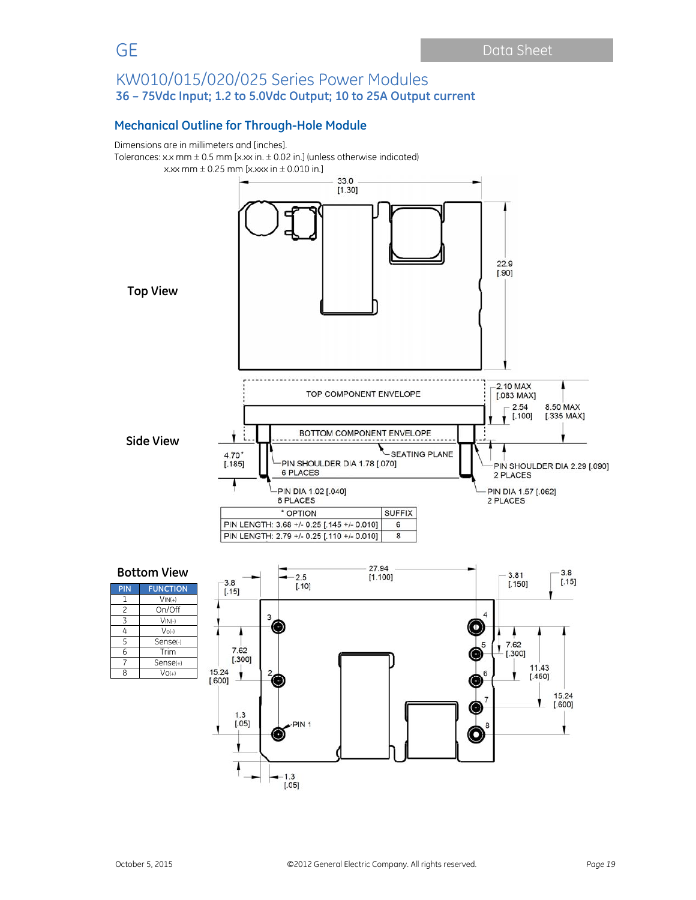## **Mechanical Outline for Through-Hole Module**



 $[.05]$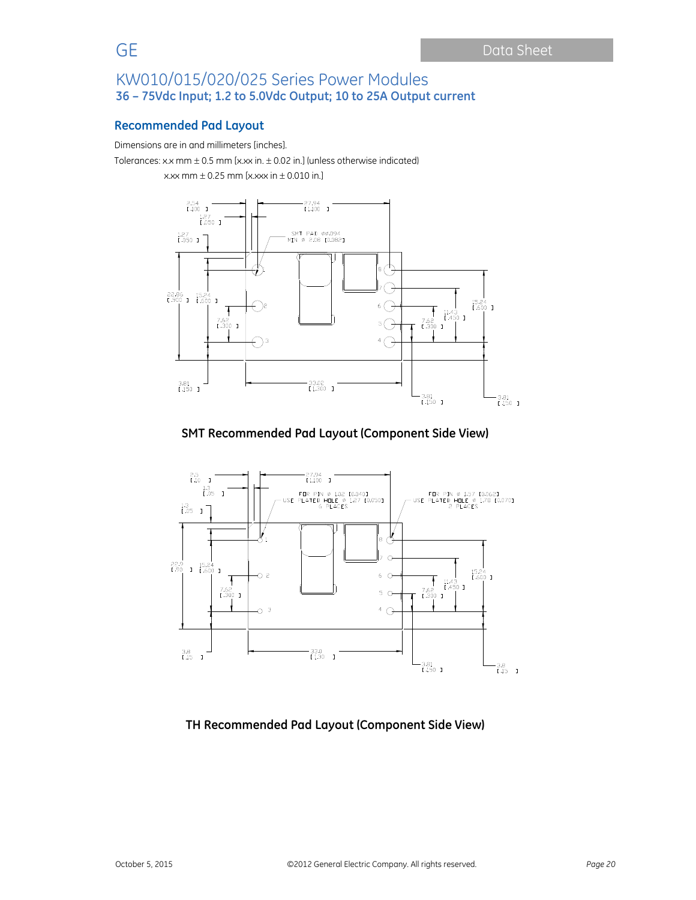## **Recommended Pad Layout**

Dimensions are in and millimeters [inches].

Tolerances: x.x mm  $\pm$  0.5 mm [x.xx in.  $\pm$  0.02 in.] (unless otherwise indicated)

x.xx mm  $\pm$  0.25 mm [x.xxx in  $\pm$  0.010 in.]



## **SMT Recommended Pad Layout (Component Side View)**



**TH Recommended Pad Layout (Component Side View)**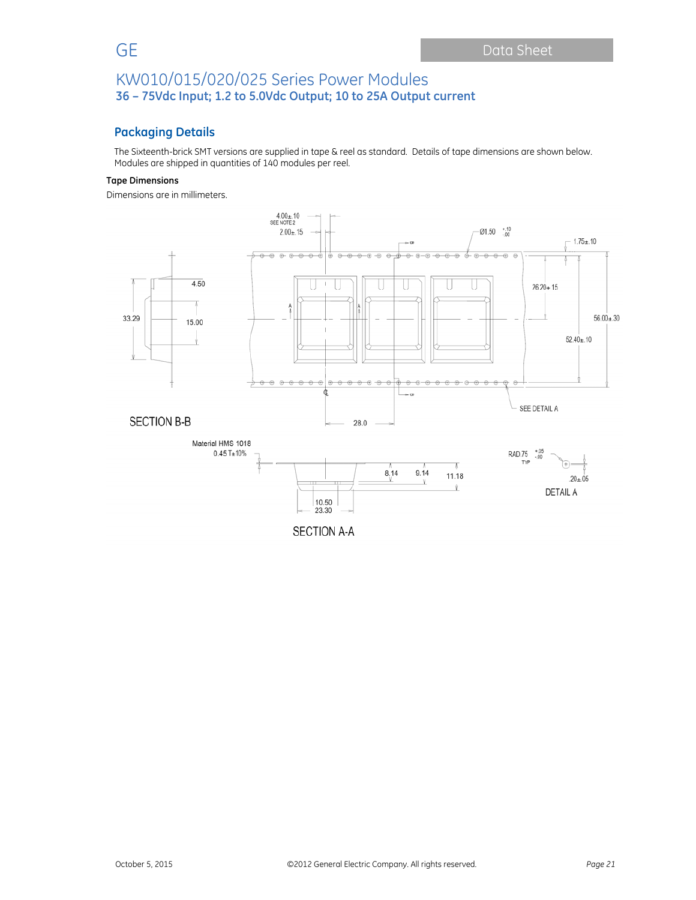# **Packaging Details**

The Sixteenth-brick SMT versions are supplied in tape & reel as standard. Details of tape dimensions are shown below. Modules are shipped in quantities of 140 modules per reel.

### **Tape Dimensions**

Dimensions are in millimeters.